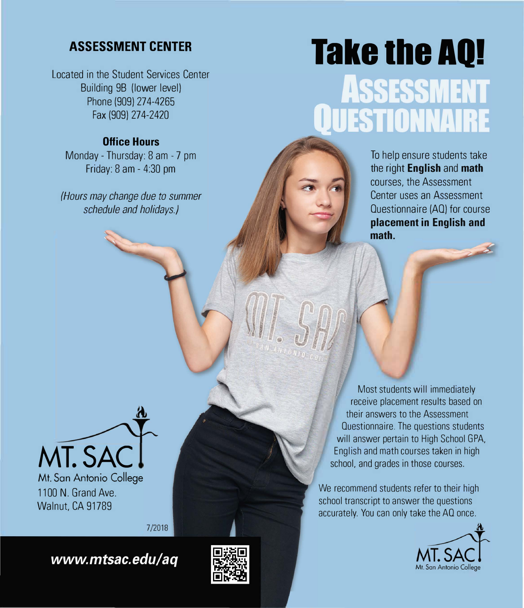Located in the Student Services Center Building 9B (lower level) Phone (909) 274-4265 Fax (909) 274-2420

### **Office Hours**

Monday - Thursday: 8 am - 7 pm Friday: 8 am - 4:30 pm

*(Hours may change due to summer schedule and holidays.)* 

# ASSESSMENT CENTER **Take the AQ! ASSESSMENT ESTIONNAIRE**

To help ensure students take the right **English** and **math**  courses, the Assessment Center uses an Assessment Questionnaire (AO) for course **placement in English and math.** 



1100 N. Grand Ave. Walnut, CA 91789

7/2018

www.mtsac.edu/aq



Most students will immediately receive placement results based on their answers to the Assessment Questionnaire. The questions students will answer pertain to High School GPA, English and math courses taken in high school, and grades in those courses.

We recommend students refer to their high school transcript to answer the questions accurately. You can only take the AO once.